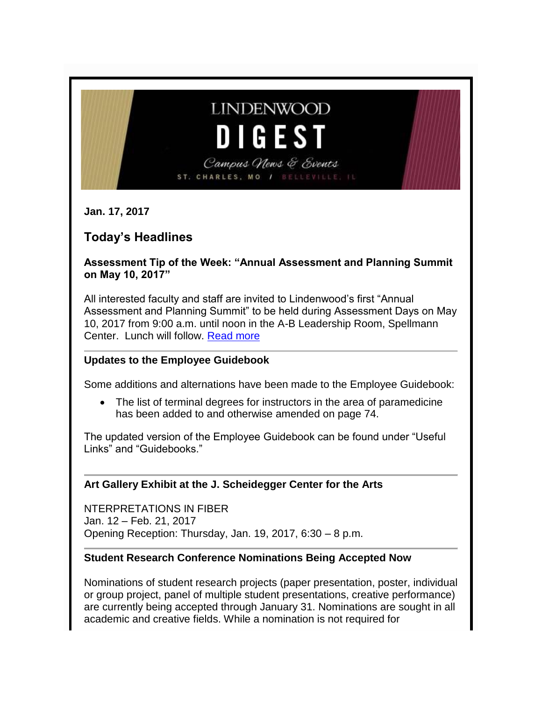# **LINDENWOOD D I G E S T**

Campus News & Events ST. CHARLES, MO / BELLEVILLE,

**Jan. 17, 2017**

# **Today's Headlines**

**Assessment Tip of the Week: "Annual Assessment and Planning Summit on May 10, 2017"** 

All interested faculty and staff are invited to Lindenwood's first "Annual Assessment and Planning Summit" to be held during Assessment Days on May 10, 2017 from 9:00 a.m. until noon in the A-B Leadership Room, Spellmann Center. Lunch will follow. [Read more](http://felix.lindenwood.edu/newsletter/2017_01/assessment_01_16.pdf)

#### **Updates to the Employee Guidebook**

Some additions and alternations have been made to the Employee Guidebook:

• The list of terminal degrees for instructors in the area of paramedicine has been added to and otherwise amended on page 74.

The updated version of the Employee Guidebook can be found under "Useful Links" and "Guidebooks."

#### **Art Gallery Exhibit at the J. Scheidegger Center for the Arts**

NTERPRETATIONS IN FIBER Jan. 12 – Feb. 21, 2017 Opening Reception: Thursday, Jan. 19, 2017, 6:30 – 8 p.m.

#### **Student Research Conference Nominations Being Accepted Now**

Nominations of student research projects (paper presentation, poster, individual or group project, panel of multiple student presentations, creative performance) are currently being accepted through January 31. Nominations are sought in all academic and creative fields. While a nomination is not required for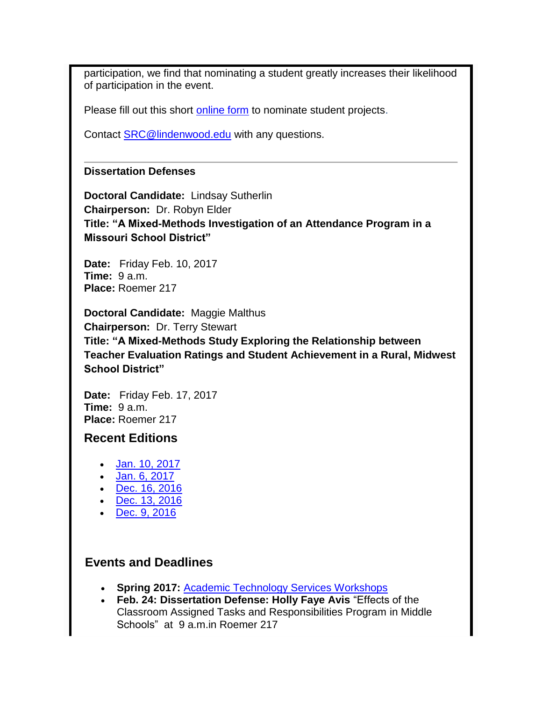participation, we find that nominating a student greatly increases their likelihood of participation in the event.

Please fill out this short [online form](http://www.lindenwood.edu/academics/beyond-the-classroom/student-research/srse-faculty-nominations/faculty-nomination-form/) to nominate student projects.

Contact [SRC@lindenwood.edu](mailto:SRC@lindenwood.edu?subject=Student%20Research%20Conference%20--%20Faculty%20Nomination%20Form) with any questions.

#### **Dissertation Defenses**

**Doctoral Candidate:** Lindsay Sutherlin **Chairperson:** Dr. Robyn Elder **Title: "A Mixed-Methods Investigation of an Attendance Program in a Missouri School District"**

**Date:** Friday Feb. 10, 2017 **Time:** 9 a.m. **Place:** Roemer 217

**Doctoral Candidate:** Maggie Malthus **Chairperson:** Dr. Terry Stewart **Title: "A Mixed-Methods Study Exploring the Relationship between Teacher Evaluation Ratings and Student Achievement in a Rural, Midwest School District"**

**Date:** Friday Feb. 17, 2017 **Time:** 9 a.m. **Place:** Roemer 217

## **Recent Editions**

- [Jan. 10, 2017](http://felix.lindenwood.edu/newsletter/digest/2017_01/digest_2017_01_10.pdf)
- $\bullet$  [Jan. 6, 2017](http://felix.lindenwood.edu/newsletter/digest/2017_01/digest_2017_01_06.pdf)
- [Dec. 16, 2016](http://felix.lindenwood.edu/newsletter/digest/digest_2016_12_16.pdf)
- [Dec. 13, 2016](http://felix.lindenwood.edu/newsletter/digest/digest2016_12_13.pdf)
- [Dec. 9, 2016](http://felix.lindenwood.edu/newsletter/digest/digest2016_12_09.pdf)

## **Events and Deadlines**

- **Spring 2017:** [Academic Technology Services Workshops](http://felix.lindenwood.edu/newsletter/2017_01/spring2017workshops.pdf)
- **Feb. 24: Dissertation Defense: Holly Faye Avis** "Effects of the Classroom Assigned Tasks and Responsibilities Program in Middle Schools" at 9 a.m.in Roemer 217